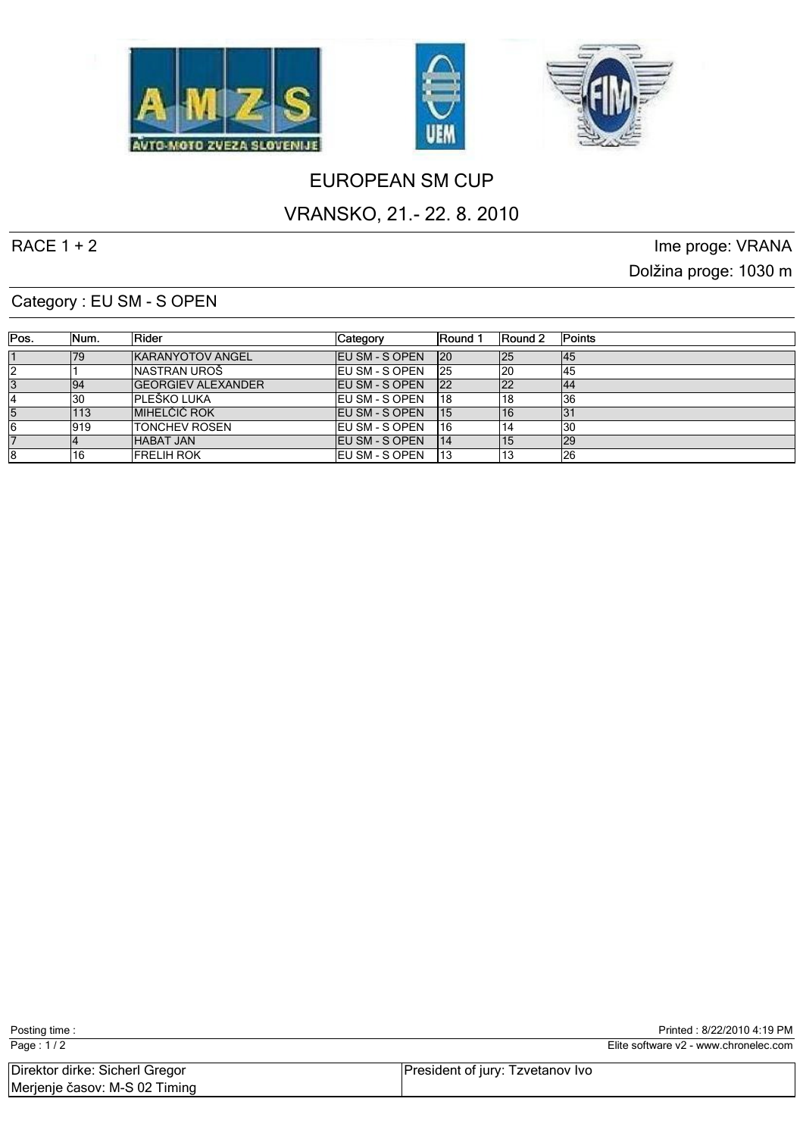





# EUROPEAN SM CUP

# VRANSKO, 21.- 22. 8. 2010

RACE 1 + 2 Ime proge: VRANA Dolžina proge: 1030 m

#### Category : EU SM - S OPEN

| Pos. | Mum. | <b>IRider</b>              | Category               | <b>IRound 1</b> | Round 2 | <b>Points</b> |
|------|------|----------------------------|------------------------|-----------------|---------|---------------|
|      | 179  | <b>IKARANYOTOV ANGEL</b>   | <b>IEU SM - S OPEN</b> | 120             | 125     | 145           |
|      |      | INASTRAN UROŠ              | <b>IEU SM - S OPEN</b> | 125             | 120     | 145           |
| 13   | 94   | <b>IGEORGIEV ALEXANDER</b> | <b>IEU SM - S OPEN</b> | 122             | 122     | 144           |
|      | 130  | IPLEŠKO LUKA               | <b>IEU SM - S OPEN</b> | 118             |         | 36            |
| 5    | 113  | <b>IMIHELČIČ ROK</b>       | <b>IEU SM - S OPEN</b> | 115             | 116     |               |
| 16   | 1919 | <b>ITONCHEV ROSEN</b>      | <b>IEU SM - S OPEN</b> | 16              |         | 130           |
|      |      | <b>HABAT JAN</b>           | <b>IEU SM - S OPEN</b> | 14              |         | l29           |
| 18   | 116  | <b>IFRELIH ROK</b>         | <b>IEU SM - S OPEN</b> | 13              |         | 26            |

| Page: 1/2                      |                                  | Elite software v2 - www.chronelec.com |
|--------------------------------|----------------------------------|---------------------------------------|
| Direktor dirke: Sicherl Gregor | President of jury: Tzvetanov Ivo |                                       |
| Merjenje časov: M-S 02 Timing  |                                  |                                       |

Posting time : Posting time : 8/22/2010 4:19 PM